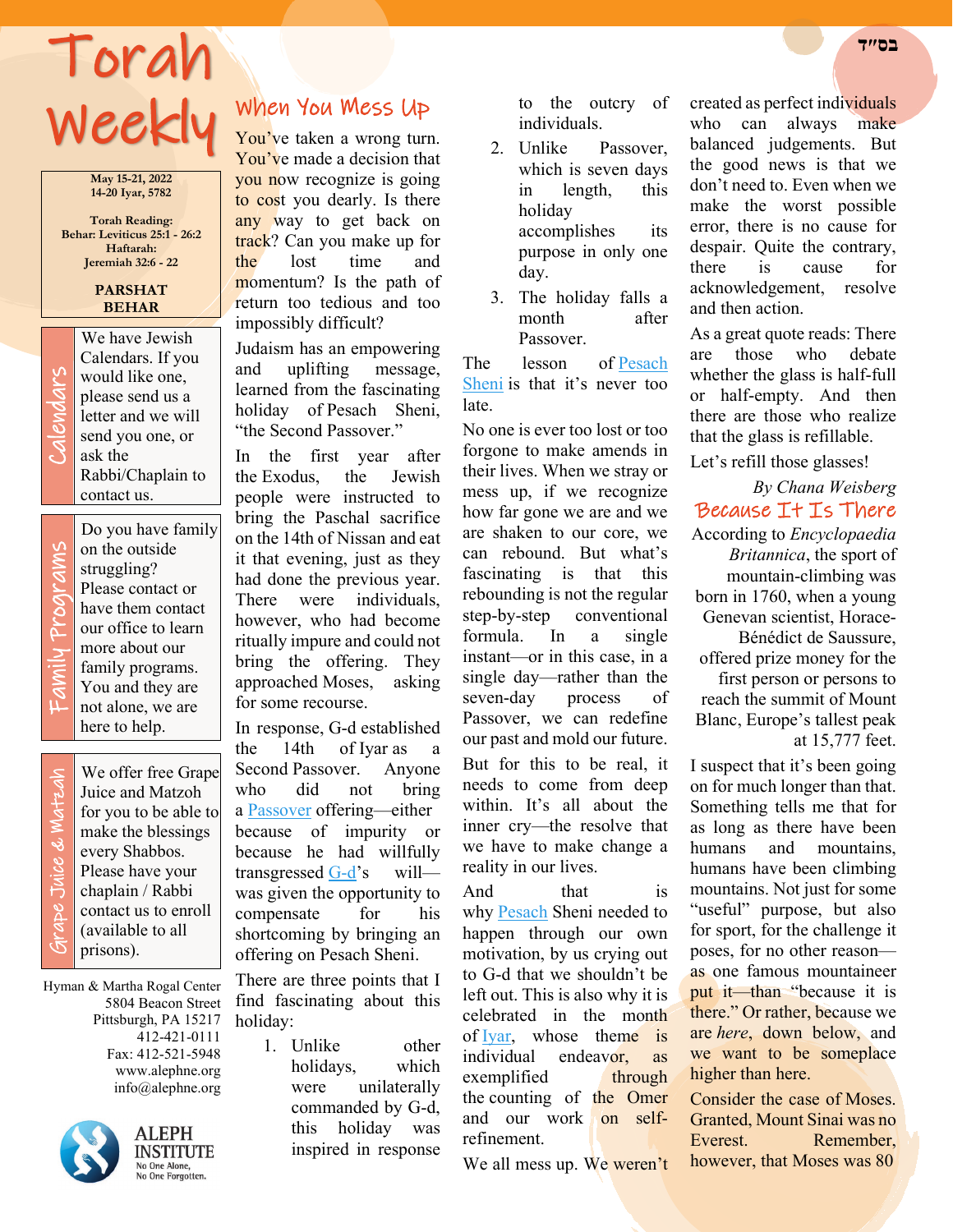# Torah **בס״ד**  Weekly

**May 15-21, 2022 14-20 Iyar, 5782**

**Torah Reading: Behar: Leviticus 25:1 - 26:2 Haftarah: Jeremiah 32:6 - 22**

#### **PARSHAT BEHAR**

We have Jewish<br>Calendars. If you<br>would like one,<br>please send us a<br>letter and we will<br>send you one, or<br>ask the Calendars. If you would like one, please send us a letter and we will send you one, or ask the Rabbi/Chaplain to contact us.

Family Programs rams Prog  $\Rightarrow$ Fami

Do you have family on the outside struggling? Please contact or have them contact our office to learn more about our family programs. You and they are not alone, we are here to help.

 Grape Juice & Matzah ade Juice & Matzah

We offer free Grape Juice and Matzoh for you to be able to make the blessings every Shabbos. Please have your chaplain / Rabbi contact us to enroll (available to all prisons).

Hyman & Martha Rogal Center 5804 Beacon Street Pittsburgh, PA 15217 412-421-0111 Fax: 412-521-5948 www.alephne.org info@alephne.org



**ALEPH INSTITUTE** No One Alone,<br>No One Forgotten.

## When You Mess Up

You've taken a wrong turn. You've made a decision that you now recognize is going to cost you dearly. Is there any way to get back on track? Can you make up for the lost time and momentum? Is the path of return too tedious and too impossibly difficult?

Judaism has an empowering and uplifting message, learned from the fascinating holiday of Pesach Sheni, "the Second Passover."

In the first year after the Exodus, the Jewish people were instructed to bring the Paschal sacrifice on the 14th of Nissan and eat it that evening, just as they had done the previous year. There were individuals, however, who had become ritually impure and could not bring the offering. They approached Moses, asking for some recourse.

In response, G-d established the 14th of Iyar as a Second Passover. Anyone who did not bring a [Passover](https://www.chabad.org/holidays/passover/default_cdo/jewish/Passover.htm) offering—either because of impurity or because he had willfully transgressed [G-d'](https://www.chabad.org/library/article_cdo/aid/433240/jewish/God.htm)s will was given the opportunity to compensate for his shortcoming by bringing an offering on Pesach Sheni.

There are three points that I find fascinating about this holiday:

> 1. Unlike other holidays, which were unilaterally commanded by G-d, this holiday was inspired in response

to the outcry of individuals.

- 2. Unlike Passover, which is seven days in length, this holiday accomplishes its purpose in only one day.
- 3. The holiday falls a month after Passover.

The lesson of Pesach [Sheni](https://www.chabad.org/library/article_cdo/aid/470865/jewish/Pesach-Sheni.htm) is that it's never too late.

No one is ever too lost or too forgone to make amends in their lives. When we stray or mess up, if we recognize how far gone we are and we are shaken to our core, we can rebound. But what's fascinating is that this rebounding is not the regular step-by-step conventional formula. In a single instant—or in this case, in a single day—rather than the seven-day process of Passover, we can redefine our past and mold our future. But for this to be real, it needs to come from deep

within. It's all about the inner cry—the resolve that we have to make change a reality in our lives.

And that is why [Pesach](https://www.chabad.org/holidays/passover/default_cdo/jewish/Passover.htm) Sheni needed to happen through our own motivation, by us crying out to G-d that we shouldn't be left out. This is also why it is celebrated in the month of [Iyar,](https://www.chabad.org/library/article_cdo/aid/2198504/jewish/Iyar.htm) whose theme is individual endeavor, as exemplified through the counting of the Omer and our work on selfrefinement.

We all mess up. We weren't

created as perfect individuals who can always make balanced judgements. But the good news is that we don't need to. Even when we make the worst possible error, there is no cause for despair. Quite the contrary, there is cause for acknowledgement, resolve and then action.

As a great quote reads: There are those who debate whether the glass is half-full or half-empty. And then there are those who realize that the glass is refillable.

Let's refill those glasses!

*By Chana Weisberg*  Because It Is There According to *Encyclopaedia Britannica*, the sport of mountain-climbing was born in 1760, when a young Genevan scientist, Horace-Bénédict de Saussure, offered prize money for the first person or persons to reach the summit of Mount Blanc, Europe's tallest peak at 15,777 feet.

I suspect that it's been going on for much longer than that. Something tells me that for as long as there have been humans and mountains, humans have been climbing mountains. Not just for some "useful" purpose, but also for sport, for the challenge it poses, for no other reason as one famous mountaineer put it—than "because it is there." Or rather, because we are *here*, down below, and we want to be someplace higher than here.

Consider the case of Moses. Granted, Mount Sinai was no Everest. Remember, however, that Moses was 80